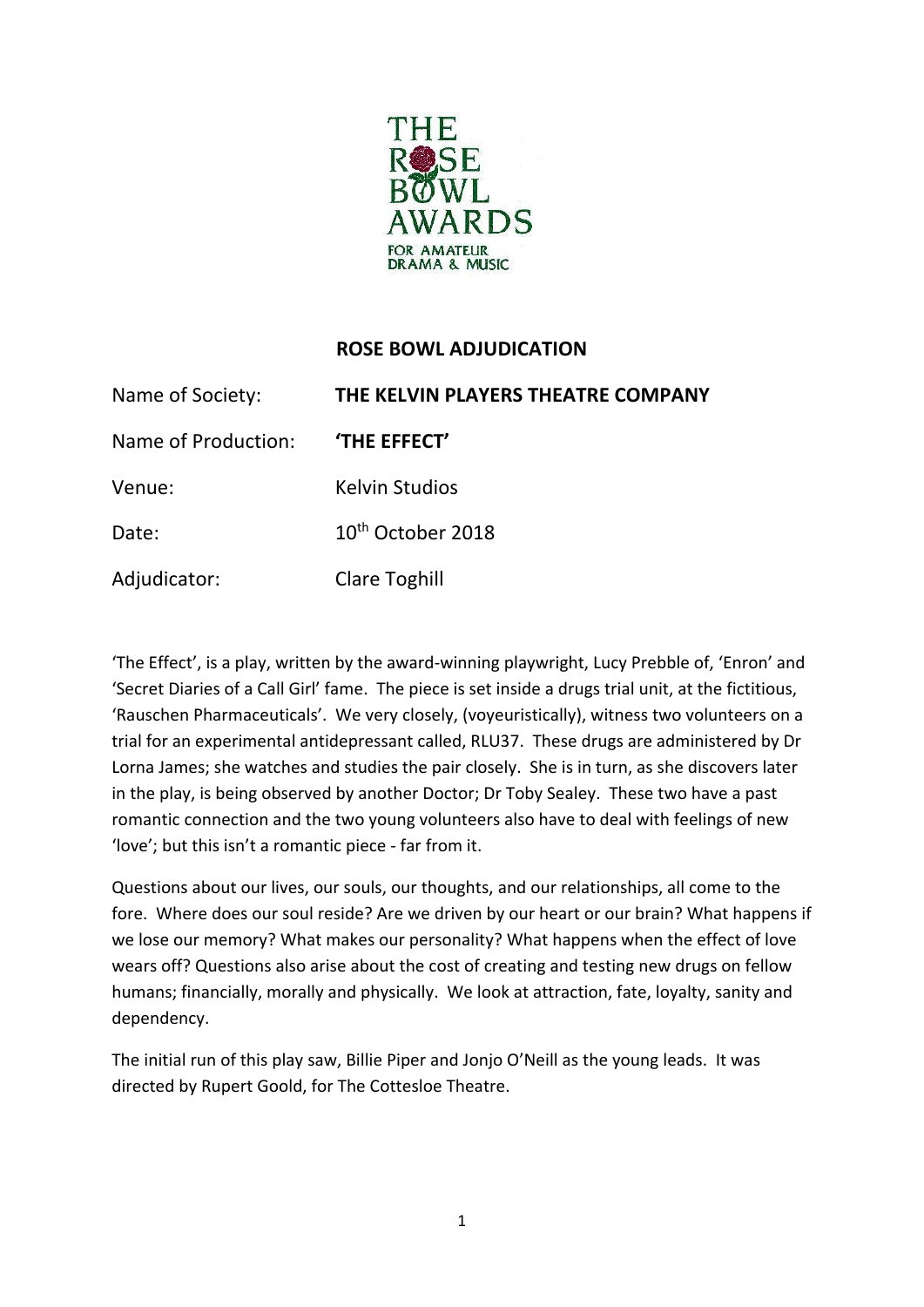

## **ROSE BOWL ADJUDICATION**

| Name of Society:    | THE KELVIN PLAYERS THEATRE COMPANY |
|---------------------|------------------------------------|
| Name of Production: | 'THE EFFECT'                       |
| Venue:              | <b>Kelvin Studios</b>              |
| Date:               | 10 <sup>th</sup> October 2018      |
| Adjudicator:        | <b>Clare Toghill</b>               |

'The Effect', is a play, written by the award-winning playwright, Lucy Prebble of, 'Enron' and 'Secret Diaries of a Call Girl' fame. The piece is set inside a drugs trial unit, at the fictitious, 'Rauschen Pharmaceuticals'. We very closely, (voyeuristically), witness two volunteers on a trial for an experimental antidepressant called, RLU37. These drugs are administered by Dr Lorna James; she watches and studies the pair closely. She is in turn, as she discovers later in the play, is being observed by another Doctor; Dr Toby Sealey. These two have a past romantic connection and the two young volunteers also have to deal with feelings of new 'love'; but this isn't a romantic piece - far from it.

Questions about our lives, our souls, our thoughts, and our relationships, all come to the fore. Where does our soul reside? Are we driven by our heart or our brain? What happens if we lose our memory? What makes our personality? What happens when the effect of love wears off? Questions also arise about the cost of creating and testing new drugs on fellow humans; financially, morally and physically. We look at attraction, fate, loyalty, sanity and dependency.

The initial run of this play saw, Billie Piper and Jonjo O'Neill as the young leads. It was directed by Rupert Goold, for The Cottesloe Theatre.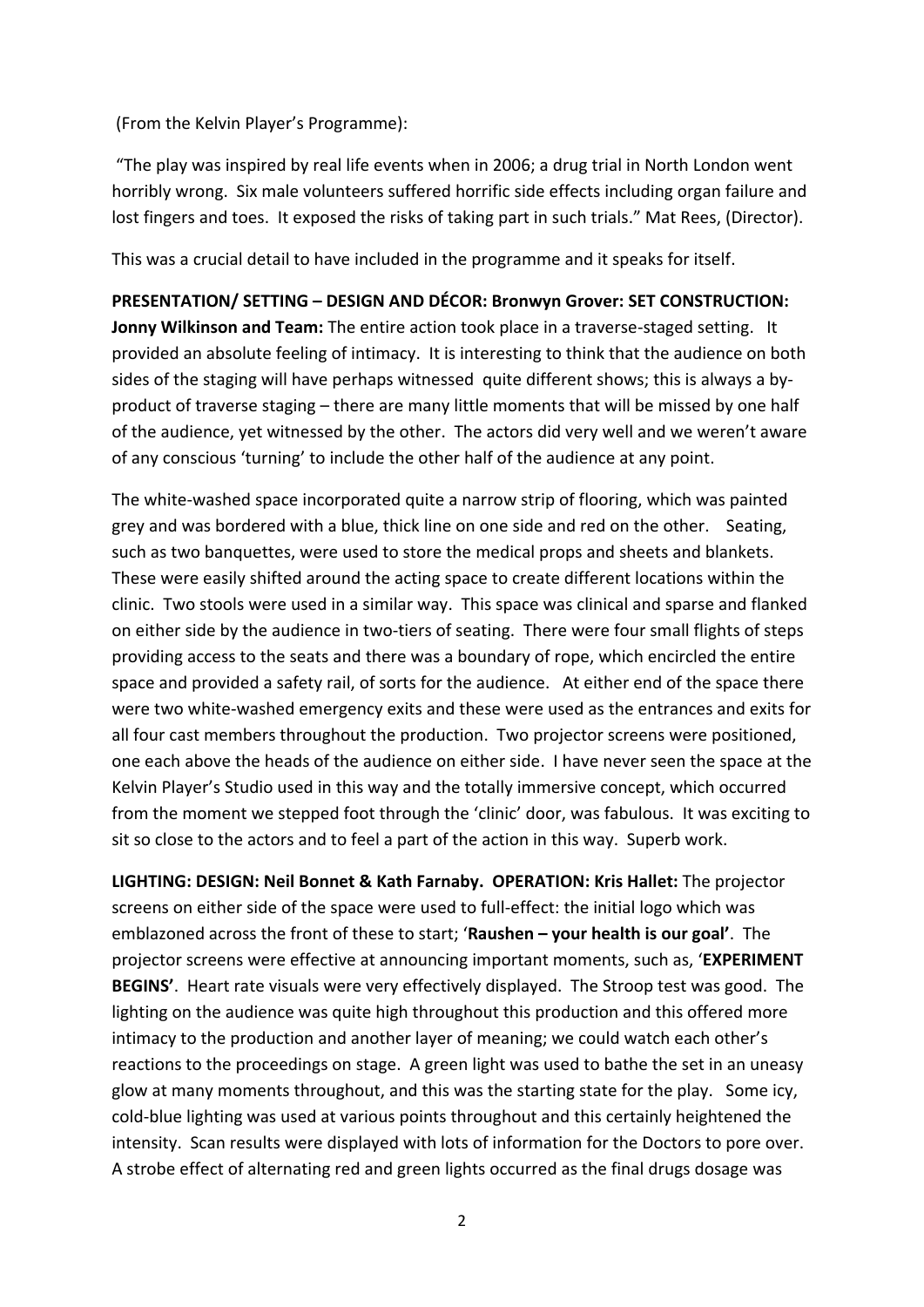(From the Kelvin Player's Programme):

"The play was inspired by real life events when in 2006; a drug trial in North London went horribly wrong. Six male volunteers suffered horrific side effects including organ failure and lost fingers and toes. It exposed the risks of taking part in such trials." Mat Rees, (Director).

This was a crucial detail to have included in the programme and it speaks for itself.

**PRESENTATION/ SETTING – DESIGN AND DÉCOR: Bronwyn Grover: SET CONSTRUCTION: Jonny Wilkinson and Team:** The entire action took place in a traverse-staged setting. It provided an absolute feeling of intimacy. It is interesting to think that the audience on both sides of the staging will have perhaps witnessed quite different shows; this is always a byproduct of traverse staging – there are many little moments that will be missed by one half of the audience, yet witnessed by the other. The actors did very well and we weren't aware of any conscious 'turning' to include the other half of the audience at any point.

The white-washed space incorporated quite a narrow strip of flooring, which was painted grey and was bordered with a blue, thick line on one side and red on the other. Seating, such as two banquettes, were used to store the medical props and sheets and blankets. These were easily shifted around the acting space to create different locations within the clinic. Two stools were used in a similar way. This space was clinical and sparse and flanked on either side by the audience in two-tiers of seating. There were four small flights of steps providing access to the seats and there was a boundary of rope, which encircled the entire space and provided a safety rail, of sorts for the audience. At either end of the space there were two white-washed emergency exits and these were used as the entrances and exits for all four cast members throughout the production. Two projector screens were positioned, one each above the heads of the audience on either side. I have never seen the space at the Kelvin Player's Studio used in this way and the totally immersive concept, which occurred from the moment we stepped foot through the 'clinic' door, was fabulous. It was exciting to sit so close to the actors and to feel a part of the action in this way. Superb work.

**LIGHTING: DESIGN: Neil Bonnet & Kath Farnaby. OPERATION: Kris Hallet:** The projector screens on either side of the space were used to full-effect: the initial logo which was emblazoned across the front of these to start; '**Raushen – your health is our goal'**. The projector screens were effective at announcing important moments, such as, '**EXPERIMENT BEGINS'**. Heart rate visuals were very effectively displayed. The Stroop test was good. The lighting on the audience was quite high throughout this production and this offered more intimacy to the production and another layer of meaning; we could watch each other's reactions to the proceedings on stage. A green light was used to bathe the set in an uneasy glow at many moments throughout, and this was the starting state for the play. Some icy, cold-blue lighting was used at various points throughout and this certainly heightened the intensity. Scan results were displayed with lots of information for the Doctors to pore over. A strobe effect of alternating red and green lights occurred as the final drugs dosage was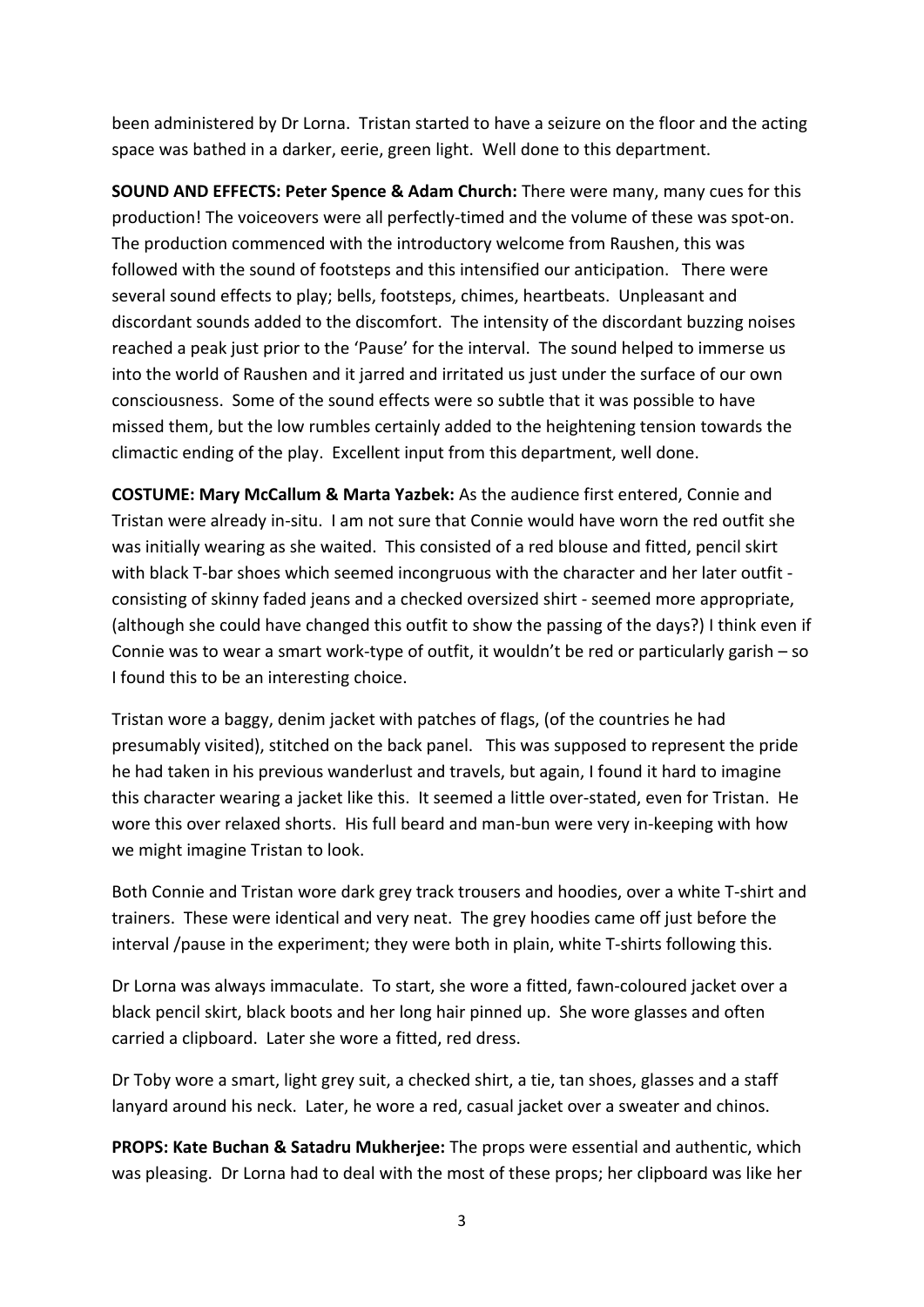been administered by Dr Lorna. Tristan started to have a seizure on the floor and the acting space was bathed in a darker, eerie, green light. Well done to this department.

**SOUND AND EFFECTS: Peter Spence & Adam Church:** There were many, many cues for this production! The voiceovers were all perfectly-timed and the volume of these was spot-on. The production commenced with the introductory welcome from Raushen, this was followed with the sound of footsteps and this intensified our anticipation. There were several sound effects to play; bells, footsteps, chimes, heartbeats. Unpleasant and discordant sounds added to the discomfort. The intensity of the discordant buzzing noises reached a peak just prior to the 'Pause' for the interval. The sound helped to immerse us into the world of Raushen and it jarred and irritated us just under the surface of our own consciousness. Some of the sound effects were so subtle that it was possible to have missed them, but the low rumbles certainly added to the heightening tension towards the climactic ending of the play. Excellent input from this department, well done.

**COSTUME: Mary McCallum & Marta Yazbek:** As the audience first entered, Connie and Tristan were already in-situ. I am not sure that Connie would have worn the red outfit she was initially wearing as she waited. This consisted of a red blouse and fitted, pencil skirt with black T-bar shoes which seemed incongruous with the character and her later outfit consisting of skinny faded jeans and a checked oversized shirt - seemed more appropriate, (although she could have changed this outfit to show the passing of the days?) I think even if Connie was to wear a smart work-type of outfit, it wouldn't be red or particularly garish – so I found this to be an interesting choice.

Tristan wore a baggy, denim jacket with patches of flags, (of the countries he had presumably visited), stitched on the back panel. This was supposed to represent the pride he had taken in his previous wanderlust and travels, but again, I found it hard to imagine this character wearing a jacket like this. It seemed a little over-stated, even for Tristan. He wore this over relaxed shorts. His full beard and man-bun were very in-keeping with how we might imagine Tristan to look.

Both Connie and Tristan wore dark grey track trousers and hoodies, over a white T-shirt and trainers. These were identical and very neat. The grey hoodies came off just before the interval /pause in the experiment; they were both in plain, white T-shirts following this.

Dr Lorna was always immaculate. To start, she wore a fitted, fawn-coloured jacket over a black pencil skirt, black boots and her long hair pinned up. She wore glasses and often carried a clipboard. Later she wore a fitted, red dress.

Dr Toby wore a smart, light grey suit, a checked shirt, a tie, tan shoes, glasses and a staff lanyard around his neck. Later, he wore a red, casual jacket over a sweater and chinos.

**PROPS: Kate Buchan & Satadru Mukherjee:** The props were essential and authentic, which was pleasing. Dr Lorna had to deal with the most of these props; her clipboard was like her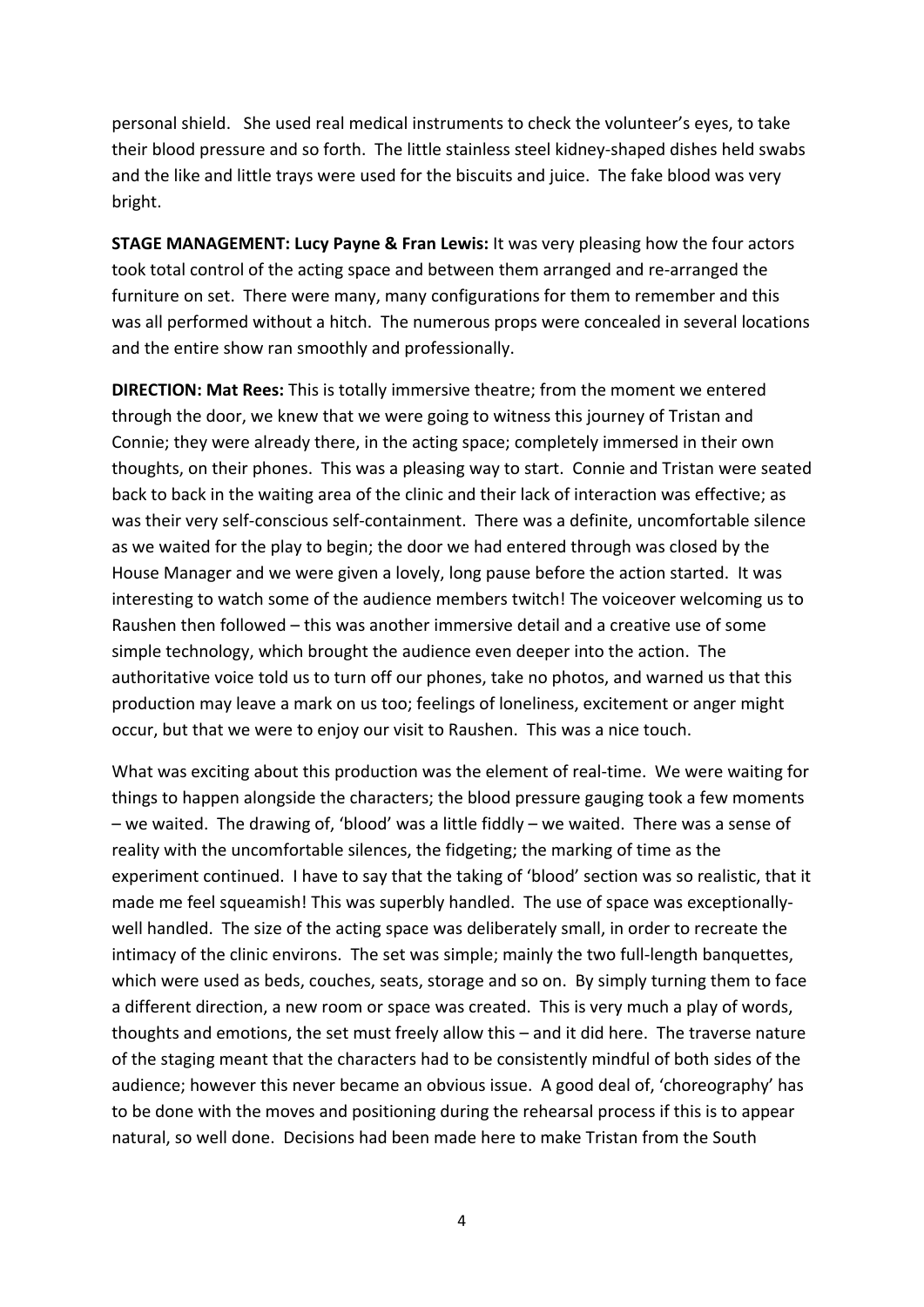personal shield. She used real medical instruments to check the volunteer's eyes, to take their blood pressure and so forth. The little stainless steel kidney-shaped dishes held swabs and the like and little trays were used for the biscuits and juice. The fake blood was very bright.

**STAGE MANAGEMENT: Lucy Payne & Fran Lewis:** It was very pleasing how the four actors took total control of the acting space and between them arranged and re-arranged the furniture on set. There were many, many configurations for them to remember and this was all performed without a hitch. The numerous props were concealed in several locations and the entire show ran smoothly and professionally.

**DIRECTION: Mat Rees:** This is totally immersive theatre; from the moment we entered through the door, we knew that we were going to witness this journey of Tristan and Connie; they were already there, in the acting space; completely immersed in their own thoughts, on their phones. This was a pleasing way to start. Connie and Tristan were seated back to back in the waiting area of the clinic and their lack of interaction was effective; as was their very self-conscious self-containment. There was a definite, uncomfortable silence as we waited for the play to begin; the door we had entered through was closed by the House Manager and we were given a lovely, long pause before the action started. It was interesting to watch some of the audience members twitch! The voiceover welcoming us to Raushen then followed – this was another immersive detail and a creative use of some simple technology, which brought the audience even deeper into the action. The authoritative voice told us to turn off our phones, take no photos, and warned us that this production may leave a mark on us too; feelings of loneliness, excitement or anger might occur, but that we were to enjoy our visit to Raushen. This was a nice touch.

What was exciting about this production was the element of real-time. We were waiting for things to happen alongside the characters; the blood pressure gauging took a few moments – we waited. The drawing of, 'blood' was a little fiddly – we waited. There was a sense of reality with the uncomfortable silences, the fidgeting; the marking of time as the experiment continued. I have to say that the taking of 'blood' section was so realistic, that it made me feel squeamish! This was superbly handled. The use of space was exceptionallywell handled. The size of the acting space was deliberately small, in order to recreate the intimacy of the clinic environs. The set was simple; mainly the two full-length banquettes, which were used as beds, couches, seats, storage and so on. By simply turning them to face a different direction, a new room or space was created. This is very much a play of words, thoughts and emotions, the set must freely allow this – and it did here. The traverse nature of the staging meant that the characters had to be consistently mindful of both sides of the audience; however this never became an obvious issue. A good deal of, 'choreography' has to be done with the moves and positioning during the rehearsal process if this is to appear natural, so well done. Decisions had been made here to make Tristan from the South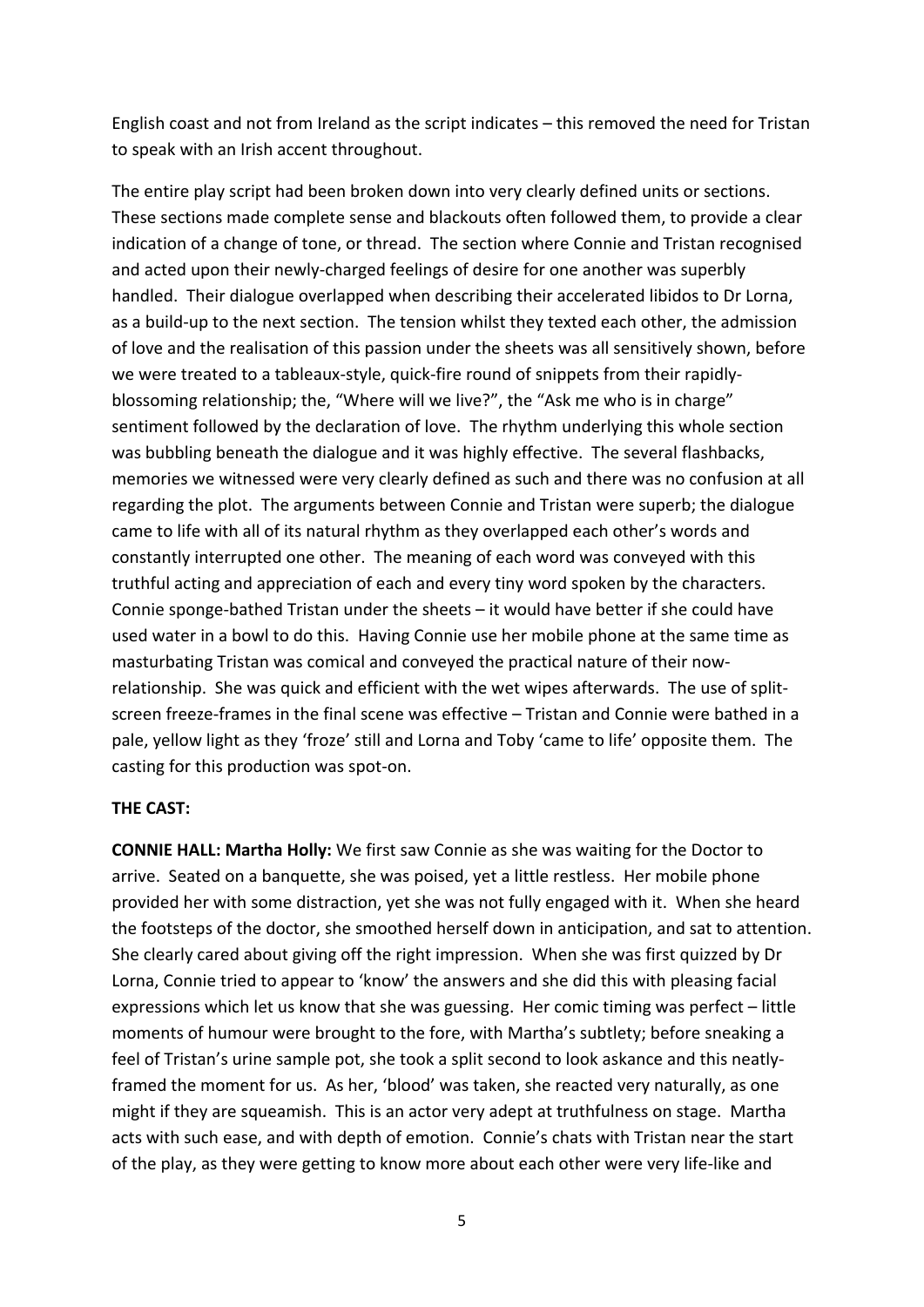English coast and not from Ireland as the script indicates – this removed the need for Tristan to speak with an Irish accent throughout.

The entire play script had been broken down into very clearly defined units or sections. These sections made complete sense and blackouts often followed them, to provide a clear indication of a change of tone, or thread. The section where Connie and Tristan recognised and acted upon their newly-charged feelings of desire for one another was superbly handled. Their dialogue overlapped when describing their accelerated libidos to Dr Lorna, as a build-up to the next section. The tension whilst they texted each other, the admission of love and the realisation of this passion under the sheets was all sensitively shown, before we were treated to a tableaux-style, quick-fire round of snippets from their rapidlyblossoming relationship; the, "Where will we live?", the "Ask me who is in charge" sentiment followed by the declaration of love. The rhythm underlying this whole section was bubbling beneath the dialogue and it was highly effective. The several flashbacks, memories we witnessed were very clearly defined as such and there was no confusion at all regarding the plot. The arguments between Connie and Tristan were superb; the dialogue came to life with all of its natural rhythm as they overlapped each other's words and constantly interrupted one other. The meaning of each word was conveyed with this truthful acting and appreciation of each and every tiny word spoken by the characters. Connie sponge-bathed Tristan under the sheets – it would have better if she could have used water in a bowl to do this. Having Connie use her mobile phone at the same time as masturbating Tristan was comical and conveyed the practical nature of their nowrelationship. She was quick and efficient with the wet wipes afterwards. The use of splitscreen freeze-frames in the final scene was effective – Tristan and Connie were bathed in a pale, yellow light as they 'froze' still and Lorna and Toby 'came to life' opposite them. The casting for this production was spot-on.

## **THE CAST:**

**CONNIE HALL: Martha Holly:** We first saw Connie as she was waiting for the Doctor to arrive. Seated on a banquette, she was poised, yet a little restless. Her mobile phone provided her with some distraction, yet she was not fully engaged with it. When she heard the footsteps of the doctor, she smoothed herself down in anticipation, and sat to attention. She clearly cared about giving off the right impression. When she was first quizzed by Dr Lorna, Connie tried to appear to 'know' the answers and she did this with pleasing facial expressions which let us know that she was guessing. Her comic timing was perfect – little moments of humour were brought to the fore, with Martha's subtlety; before sneaking a feel of Tristan's urine sample pot, she took a split second to look askance and this neatlyframed the moment for us. As her, 'blood' was taken, she reacted very naturally, as one might if they are squeamish. This is an actor very adept at truthfulness on stage. Martha acts with such ease, and with depth of emotion. Connie's chats with Tristan near the start of the play, as they were getting to know more about each other were very life-like and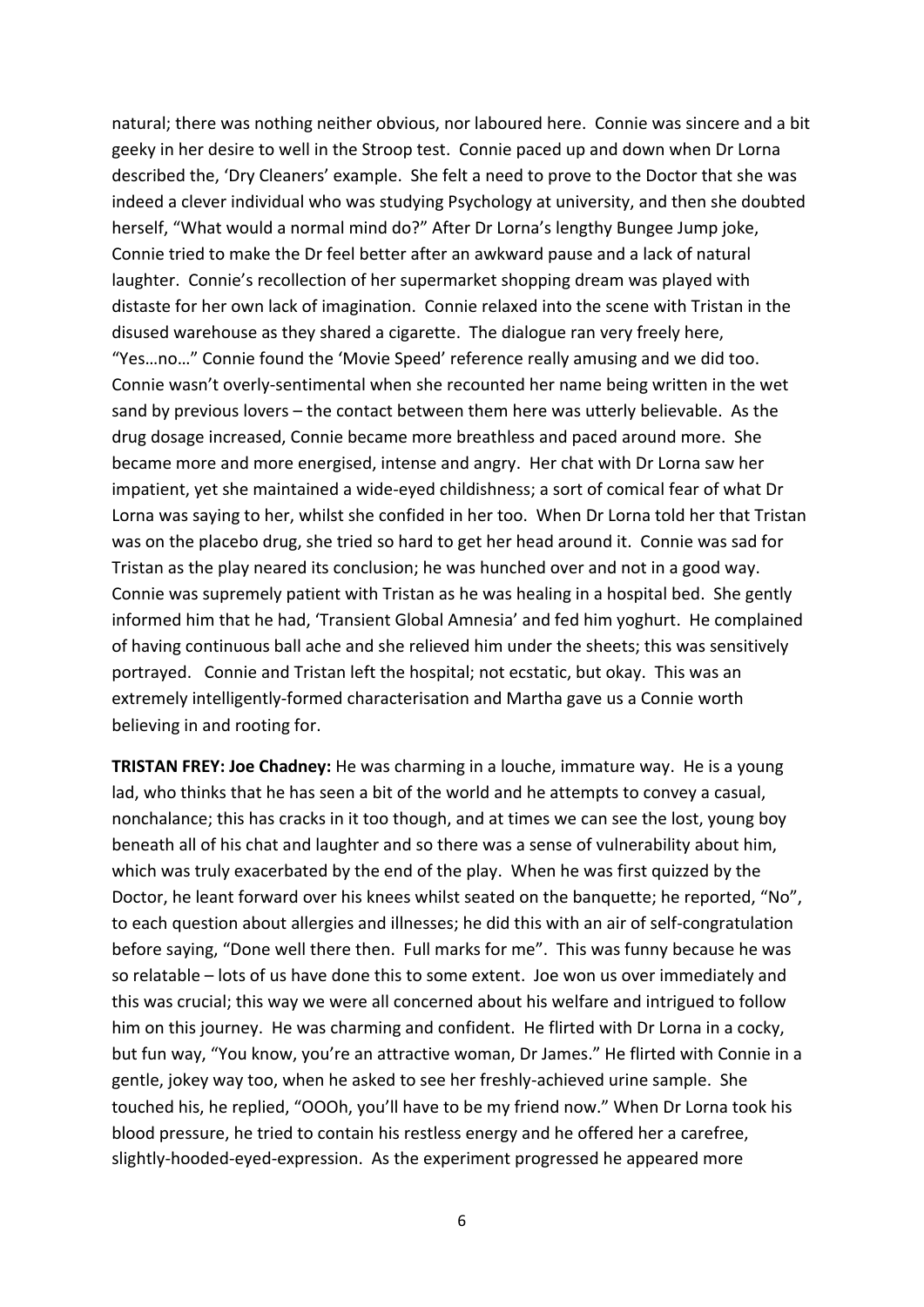natural; there was nothing neither obvious, nor laboured here. Connie was sincere and a bit geeky in her desire to well in the Stroop test. Connie paced up and down when Dr Lorna described the, 'Dry Cleaners' example. She felt a need to prove to the Doctor that she was indeed a clever individual who was studying Psychology at university, and then she doubted herself, "What would a normal mind do?" After Dr Lorna's lengthy Bungee Jump joke, Connie tried to make the Dr feel better after an awkward pause and a lack of natural laughter. Connie's recollection of her supermarket shopping dream was played with distaste for her own lack of imagination. Connie relaxed into the scene with Tristan in the disused warehouse as they shared a cigarette. The dialogue ran very freely here, "Yes…no…" Connie found the 'Movie Speed' reference really amusing and we did too. Connie wasn't overly-sentimental when she recounted her name being written in the wet sand by previous lovers – the contact between them here was utterly believable. As the drug dosage increased, Connie became more breathless and paced around more. She became more and more energised, intense and angry. Her chat with Dr Lorna saw her impatient, yet she maintained a wide-eyed childishness; a sort of comical fear of what Dr Lorna was saying to her, whilst she confided in her too. When Dr Lorna told her that Tristan was on the placebo drug, she tried so hard to get her head around it. Connie was sad for Tristan as the play neared its conclusion; he was hunched over and not in a good way. Connie was supremely patient with Tristan as he was healing in a hospital bed. She gently informed him that he had, 'Transient Global Amnesia' and fed him yoghurt. He complained of having continuous ball ache and she relieved him under the sheets; this was sensitively portrayed. Connie and Tristan left the hospital; not ecstatic, but okay. This was an extremely intelligently-formed characterisation and Martha gave us a Connie worth believing in and rooting for.

**TRISTAN FREY: Joe Chadney:** He was charming in a louche, immature way. He is a young lad, who thinks that he has seen a bit of the world and he attempts to convey a casual, nonchalance; this has cracks in it too though, and at times we can see the lost, young boy beneath all of his chat and laughter and so there was a sense of vulnerability about him, which was truly exacerbated by the end of the play. When he was first quizzed by the Doctor, he leant forward over his knees whilst seated on the banquette; he reported, "No", to each question about allergies and illnesses; he did this with an air of self-congratulation before saying, "Done well there then. Full marks for me". This was funny because he was so relatable – lots of us have done this to some extent. Joe won us over immediately and this was crucial; this way we were all concerned about his welfare and intrigued to follow him on this journey. He was charming and confident. He flirted with Dr Lorna in a cocky, but fun way, "You know, you're an attractive woman, Dr James." He flirted with Connie in a gentle, jokey way too, when he asked to see her freshly-achieved urine sample. She touched his, he replied, "OOOh, you'll have to be my friend now." When Dr Lorna took his blood pressure, he tried to contain his restless energy and he offered her a carefree, slightly-hooded-eyed-expression. As the experiment progressed he appeared more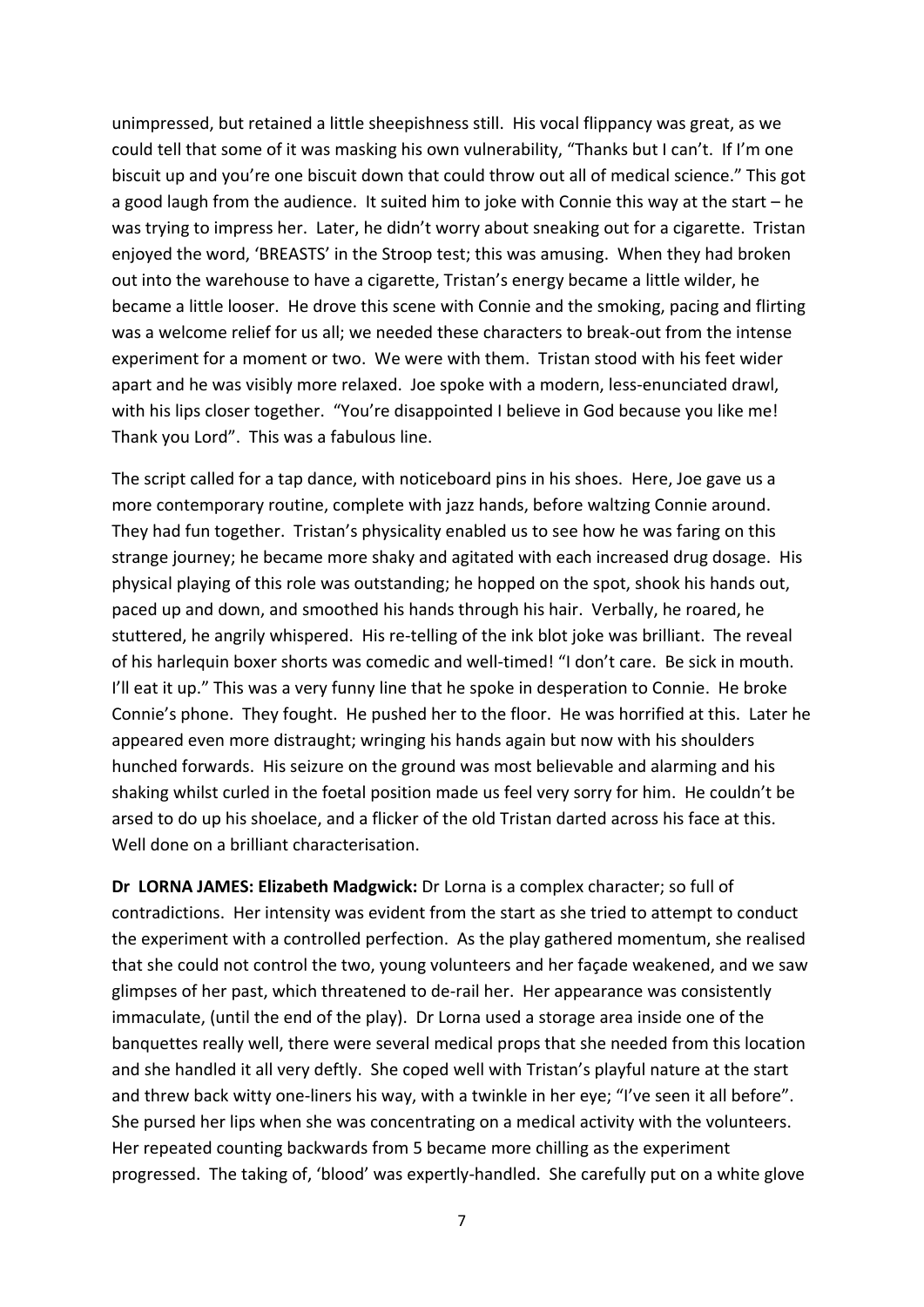unimpressed, but retained a little sheepishness still. His vocal flippancy was great, as we could tell that some of it was masking his own vulnerability, "Thanks but I can't. If I'm one biscuit up and you're one biscuit down that could throw out all of medical science." This got a good laugh from the audience. It suited him to joke with Connie this way at the start – he was trying to impress her. Later, he didn't worry about sneaking out for a cigarette. Tristan enjoyed the word, 'BREASTS' in the Stroop test; this was amusing. When they had broken out into the warehouse to have a cigarette, Tristan's energy became a little wilder, he became a little looser. He drove this scene with Connie and the smoking, pacing and flirting was a welcome relief for us all; we needed these characters to break-out from the intense experiment for a moment or two. We were with them. Tristan stood with his feet wider apart and he was visibly more relaxed. Joe spoke with a modern, less-enunciated drawl, with his lips closer together. "You're disappointed I believe in God because you like me! Thank you Lord". This was a fabulous line.

The script called for a tap dance, with noticeboard pins in his shoes. Here, Joe gave us a more contemporary routine, complete with jazz hands, before waltzing Connie around. They had fun together. Tristan's physicality enabled us to see how he was faring on this strange journey; he became more shaky and agitated with each increased drug dosage. His physical playing of this role was outstanding; he hopped on the spot, shook his hands out, paced up and down, and smoothed his hands through his hair. Verbally, he roared, he stuttered, he angrily whispered. His re-telling of the ink blot joke was brilliant. The reveal of his harlequin boxer shorts was comedic and well-timed! "I don't care. Be sick in mouth. I'll eat it up." This was a very funny line that he spoke in desperation to Connie. He broke Connie's phone. They fought. He pushed her to the floor. He was horrified at this. Later he appeared even more distraught; wringing his hands again but now with his shoulders hunched forwards. His seizure on the ground was most believable and alarming and his shaking whilst curled in the foetal position made us feel very sorry for him. He couldn't be arsed to do up his shoelace, and a flicker of the old Tristan darted across his face at this. Well done on a brilliant characterisation.

**Dr LORNA JAMES: Elizabeth Madgwick:** Dr Lorna is a complex character; so full of contradictions. Her intensity was evident from the start as she tried to attempt to conduct the experiment with a controlled perfection. As the play gathered momentum, she realised that she could not control the two, young volunteers and her façade weakened, and we saw glimpses of her past, which threatened to de-rail her. Her appearance was consistently immaculate, (until the end of the play). Dr Lorna used a storage area inside one of the banquettes really well, there were several medical props that she needed from this location and she handled it all very deftly. She coped well with Tristan's playful nature at the start and threw back witty one-liners his way, with a twinkle in her eye; "I've seen it all before". She pursed her lips when she was concentrating on a medical activity with the volunteers. Her repeated counting backwards from 5 became more chilling as the experiment progressed. The taking of, 'blood' was expertly-handled. She carefully put on a white glove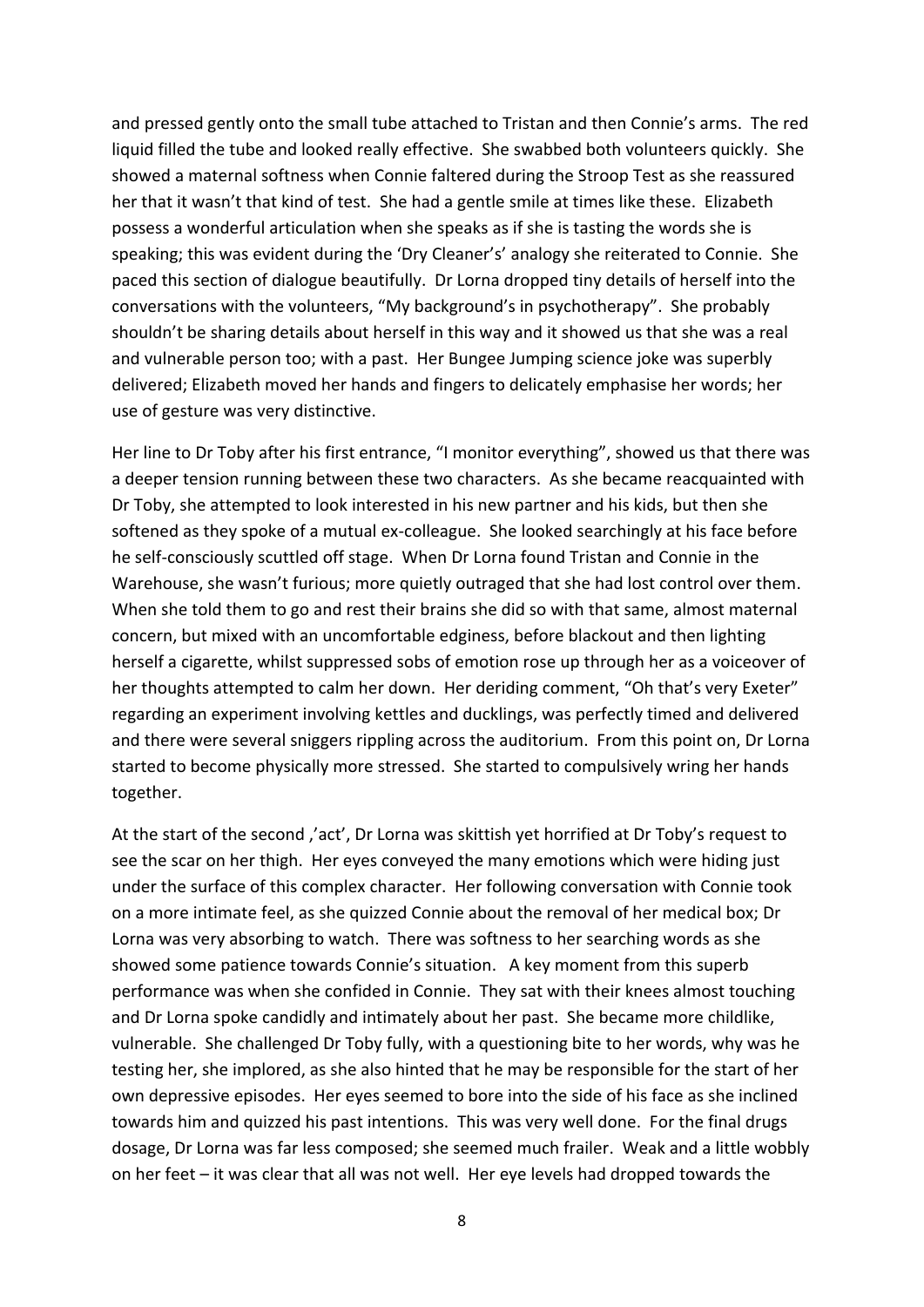and pressed gently onto the small tube attached to Tristan and then Connie's arms. The red liquid filled the tube and looked really effective. She swabbed both volunteers quickly. She showed a maternal softness when Connie faltered during the Stroop Test as she reassured her that it wasn't that kind of test. She had a gentle smile at times like these. Elizabeth possess a wonderful articulation when she speaks as if she is tasting the words she is speaking; this was evident during the 'Dry Cleaner's' analogy she reiterated to Connie. She paced this section of dialogue beautifully. Dr Lorna dropped tiny details of herself into the conversations with the volunteers, "My background's in psychotherapy". She probably shouldn't be sharing details about herself in this way and it showed us that she was a real and vulnerable person too; with a past. Her Bungee Jumping science joke was superbly delivered; Elizabeth moved her hands and fingers to delicately emphasise her words; her use of gesture was very distinctive.

Her line to Dr Toby after his first entrance, "I monitor everything", showed us that there was a deeper tension running between these two characters. As she became reacquainted with Dr Toby, she attempted to look interested in his new partner and his kids, but then she softened as they spoke of a mutual ex-colleague. She looked searchingly at his face before he self-consciously scuttled off stage. When Dr Lorna found Tristan and Connie in the Warehouse, she wasn't furious; more quietly outraged that she had lost control over them. When she told them to go and rest their brains she did so with that same, almost maternal concern, but mixed with an uncomfortable edginess, before blackout and then lighting herself a cigarette, whilst suppressed sobs of emotion rose up through her as a voiceover of her thoughts attempted to calm her down. Her deriding comment, "Oh that's very Exeter" regarding an experiment involving kettles and ducklings, was perfectly timed and delivered and there were several sniggers rippling across the auditorium. From this point on, Dr Lorna started to become physically more stressed. She started to compulsively wring her hands together.

At the start of the second ,'act', Dr Lorna was skittish yet horrified at Dr Toby's request to see the scar on her thigh. Her eyes conveyed the many emotions which were hiding just under the surface of this complex character. Her following conversation with Connie took on a more intimate feel, as she quizzed Connie about the removal of her medical box; Dr Lorna was very absorbing to watch. There was softness to her searching words as she showed some patience towards Connie's situation. A key moment from this superb performance was when she confided in Connie. They sat with their knees almost touching and Dr Lorna spoke candidly and intimately about her past. She became more childlike, vulnerable. She challenged Dr Toby fully, with a questioning bite to her words, why was he testing her, she implored, as she also hinted that he may be responsible for the start of her own depressive episodes. Her eyes seemed to bore into the side of his face as she inclined towards him and quizzed his past intentions. This was very well done. For the final drugs dosage, Dr Lorna was far less composed; she seemed much frailer. Weak and a little wobbly on her feet – it was clear that all was not well. Her eye levels had dropped towards the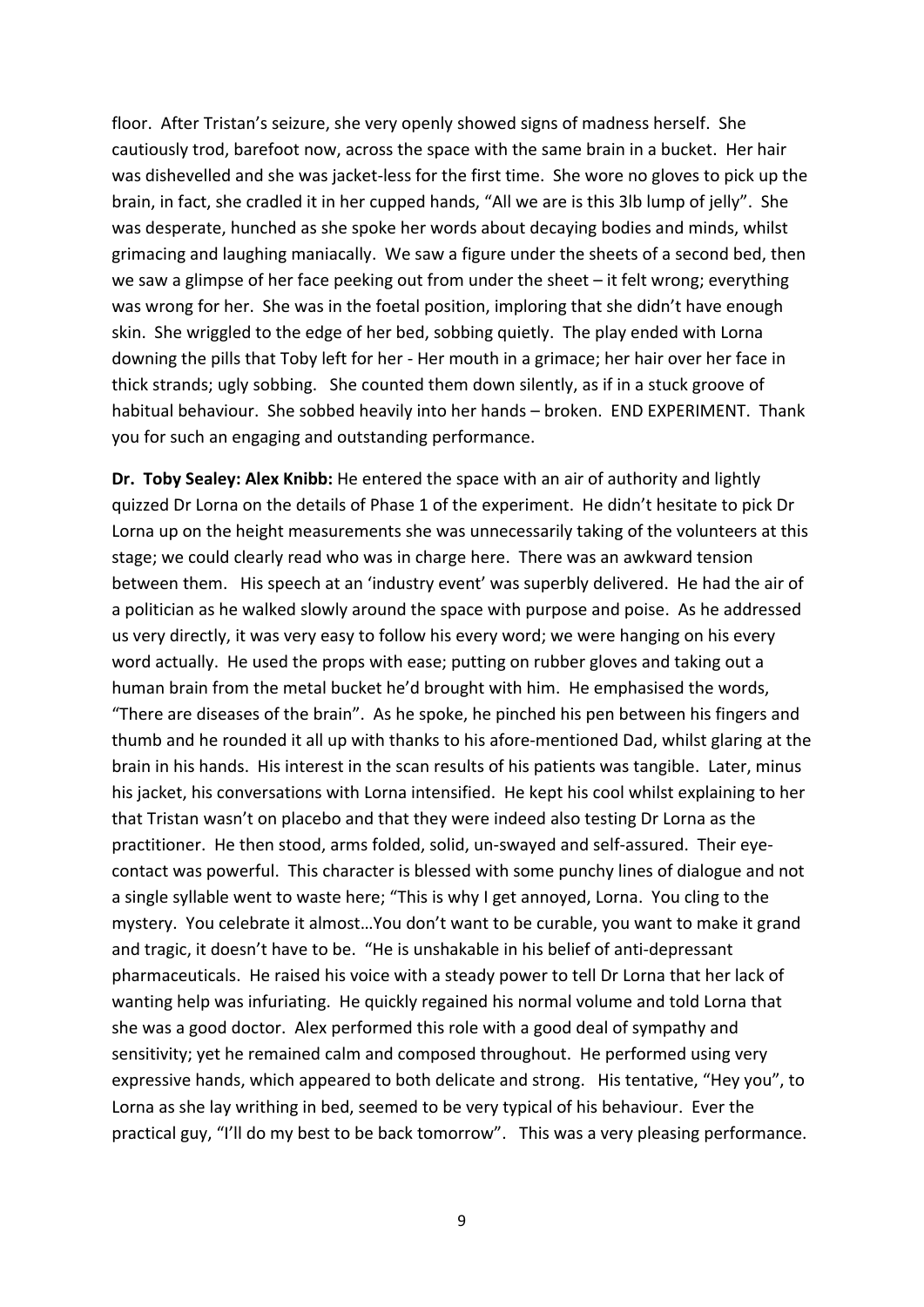floor. After Tristan's seizure, she very openly showed signs of madness herself. She cautiously trod, barefoot now, across the space with the same brain in a bucket. Her hair was dishevelled and she was jacket-less for the first time. She wore no gloves to pick up the brain, in fact, she cradled it in her cupped hands, "All we are is this 3lb lump of jelly". She was desperate, hunched as she spoke her words about decaying bodies and minds, whilst grimacing and laughing maniacally. We saw a figure under the sheets of a second bed, then we saw a glimpse of her face peeking out from under the sheet – it felt wrong; everything was wrong for her. She was in the foetal position, imploring that she didn't have enough skin. She wriggled to the edge of her bed, sobbing quietly. The play ended with Lorna downing the pills that Toby left for her - Her mouth in a grimace; her hair over her face in thick strands; ugly sobbing. She counted them down silently, as if in a stuck groove of habitual behaviour. She sobbed heavily into her hands – broken. END EXPERIMENT. Thank you for such an engaging and outstanding performance.

**Dr. Toby Sealey: Alex Knibb:** He entered the space with an air of authority and lightly quizzed Dr Lorna on the details of Phase 1 of the experiment. He didn't hesitate to pick Dr Lorna up on the height measurements she was unnecessarily taking of the volunteers at this stage; we could clearly read who was in charge here. There was an awkward tension between them. His speech at an 'industry event' was superbly delivered. He had the air of a politician as he walked slowly around the space with purpose and poise. As he addressed us very directly, it was very easy to follow his every word; we were hanging on his every word actually. He used the props with ease; putting on rubber gloves and taking out a human brain from the metal bucket he'd brought with him. He emphasised the words, "There are diseases of the brain". As he spoke, he pinched his pen between his fingers and thumb and he rounded it all up with thanks to his afore-mentioned Dad, whilst glaring at the brain in his hands. His interest in the scan results of his patients was tangible. Later, minus his jacket, his conversations with Lorna intensified. He kept his cool whilst explaining to her that Tristan wasn't on placebo and that they were indeed also testing Dr Lorna as the practitioner. He then stood, arms folded, solid, un-swayed and self-assured. Their eyecontact was powerful. This character is blessed with some punchy lines of dialogue and not a single syllable went to waste here; "This is why I get annoyed, Lorna. You cling to the mystery. You celebrate it almost…You don't want to be curable, you want to make it grand and tragic, it doesn't have to be. "He is unshakable in his belief of anti-depressant pharmaceuticals. He raised his voice with a steady power to tell Dr Lorna that her lack of wanting help was infuriating. He quickly regained his normal volume and told Lorna that she was a good doctor. Alex performed this role with a good deal of sympathy and sensitivity; yet he remained calm and composed throughout. He performed using very expressive hands, which appeared to both delicate and strong. His tentative, "Hey you", to Lorna as she lay writhing in bed, seemed to be very typical of his behaviour. Ever the practical guy, "I'll do my best to be back tomorrow". This was a very pleasing performance.